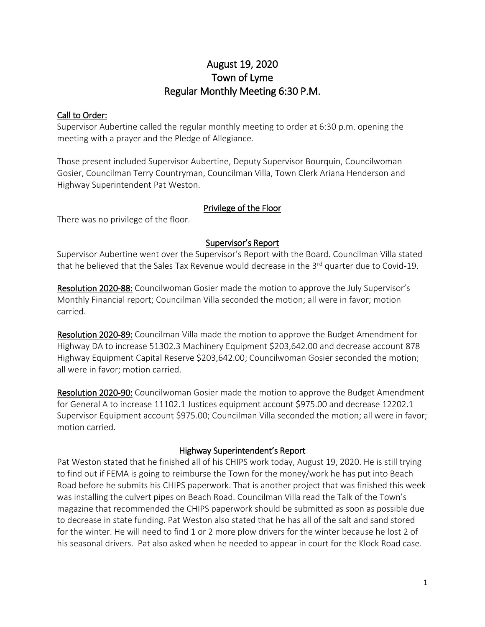# August 19, 2020 Town of Lyme Regular Monthly Meeting 6:30 P.M.

#### Call to Order:

Supervisor Aubertine called the regular monthly meeting to order at 6:30 p.m. opening the meeting with a prayer and the Pledge of Allegiance.

Those present included Supervisor Aubertine, Deputy Supervisor Bourquin, Councilwoman Gosier, Councilman Terry Countryman, Councilman Villa, Town Clerk Ariana Henderson and Highway Superintendent Pat Weston.

#### Privilege of the Floor

There was no privilege of the floor.

#### Supervisor's Report

Supervisor Aubertine went over the Supervisor's Report with the Board. Councilman Villa stated that he believed that the Sales Tax Revenue would decrease in the  $3<sup>rd</sup>$  quarter due to Covid-19.

Resolution 2020-88: Councilwoman Gosier made the motion to approve the July Supervisor's Monthly Financial report; Councilman Villa seconded the motion; all were in favor; motion carried.

Resolution 2020-89: Councilman Villa made the motion to approve the Budget Amendment for Highway DA to increase 51302.3 Machinery Equipment \$203,642.00 and decrease account 878 Highway Equipment Capital Reserve \$203,642.00; Councilwoman Gosier seconded the motion; all were in favor; motion carried.

Resolution 2020-90: Councilwoman Gosier made the motion to approve the Budget Amendment for General A to increase 11102.1 Justices equipment account \$975.00 and decrease 12202.1 Supervisor Equipment account \$975.00; Councilman Villa seconded the motion; all were in favor; motion carried.

#### Highway Superintendent's Report

Pat Weston stated that he finished all of his CHIPS work today, August 19, 2020. He is still trying to find out if FEMA is going to reimburse the Town for the money/work he has put into Beach Road before he submits his CHIPS paperwork. That is another project that was finished this week was installing the culvert pipes on Beach Road. Councilman Villa read the Talk of the Town's magazine that recommended the CHIPS paperwork should be submitted as soon as possible due to decrease in state funding. Pat Weston also stated that he has all of the salt and sand stored for the winter. He will need to find 1 or 2 more plow drivers for the winter because he lost 2 of his seasonal drivers. Pat also asked when he needed to appear in court for the Klock Road case.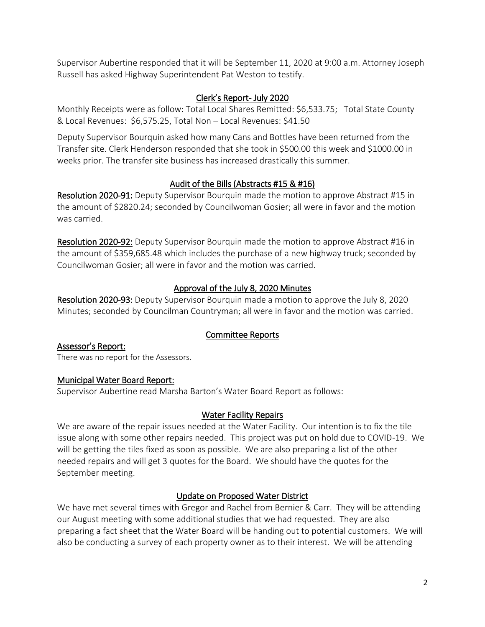Supervisor Aubertine responded that it will be September 11, 2020 at 9:00 a.m. Attorney Joseph Russell has asked Highway Superintendent Pat Weston to testify.

# Clerk's Report- July 2020

Monthly Receipts were as follow: Total Local Shares Remitted: \$6,533.75; Total State County & Local Revenues: \$6,575.25, Total Non – Local Revenues: \$41.50

Deputy Supervisor Bourquin asked how many Cans and Bottles have been returned from the Transfer site. Clerk Henderson responded that she took in \$500.00 this week and \$1000.00 in weeks prior. The transfer site business has increased drastically this summer.

# Audit of the Bills (Abstracts #15 & #16)

Resolution 2020-91: Deputy Supervisor Bourquin made the motion to approve Abstract #15 in the amount of \$2820.24; seconded by Councilwoman Gosier; all were in favor and the motion was carried.

Resolution 2020-92: Deputy Supervisor Bourquin made the motion to approve Abstract #16 in the amount of \$359,685.48 which includes the purchase of a new highway truck; seconded by Councilwoman Gosier; all were in favor and the motion was carried.

# Approval of the July 8, 2020 Minutes

Resolution 2020-93: Deputy Supervisor Bourquin made a motion to approve the July 8, 2020 Minutes; seconded by Councilman Countryman; all were in favor and the motion was carried.

#### Committee Reports

Assessor's Report: There was no report for the Assessors.

#### Municipal Water Board Report:

Supervisor Aubertine read Marsha Barton's Water Board Report as follows:

#### Water Facility Repairs

We are aware of the repair issues needed at the Water Facility. Our intention is to fix the tile issue along with some other repairs needed. This project was put on hold due to COVID-19. We will be getting the tiles fixed as soon as possible. We are also preparing a list of the other needed repairs and will get 3 quotes for the Board. We should have the quotes for the September meeting.

#### Update on Proposed Water District

We have met several times with Gregor and Rachel from Bernier & Carr. They will be attending our August meeting with some additional studies that we had requested. They are also preparing a fact sheet that the Water Board will be handing out to potential customers. We will also be conducting a survey of each property owner as to their interest. We will be attending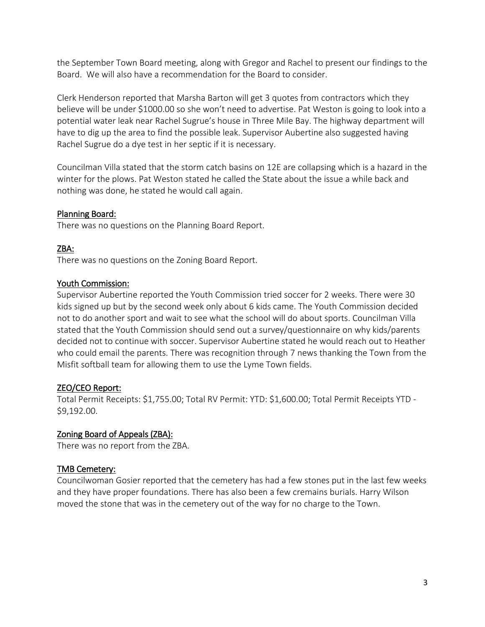the September Town Board meeting, along with Gregor and Rachel to present our findings to the Board. We will also have a recommendation for the Board to consider.

Clerk Henderson reported that Marsha Barton will get 3 quotes from contractors which they believe will be under \$1000.00 so she won't need to advertise. Pat Weston is going to look into a potential water leak near Rachel Sugrue's house in Three Mile Bay. The highway department will have to dig up the area to find the possible leak. Supervisor Aubertine also suggested having Rachel Sugrue do a dye test in her septic if it is necessary.

Councilman Villa stated that the storm catch basins on 12E are collapsing which is a hazard in the winter for the plows. Pat Weston stated he called the State about the issue a while back and nothing was done, he stated he would call again.

# Planning Board:

There was no questions on the Planning Board Report.

# ZBA:

There was no questions on the Zoning Board Report.

#### Youth Commission:

Supervisor Aubertine reported the Youth Commission tried soccer for 2 weeks. There were 30 kids signed up but by the second week only about 6 kids came. The Youth Commission decided not to do another sport and wait to see what the school will do about sports. Councilman Villa stated that the Youth Commission should send out a survey/questionnaire on why kids/parents decided not to continue with soccer. Supervisor Aubertine stated he would reach out to Heather who could email the parents. There was recognition through 7 news thanking the Town from the Misfit softball team for allowing them to use the Lyme Town fields.

# ZEO/CEO Report:

Total Permit Receipts: \$1,755.00; Total RV Permit: YTD: \$1,600.00; Total Permit Receipts YTD - \$9,192.00.

#### Zoning Board of Appeals (ZBA):

There was no report from the ZBA.

# TMB Cemetery:

Councilwoman Gosier reported that the cemetery has had a few stones put in the last few weeks and they have proper foundations. There has also been a few cremains burials. Harry Wilson moved the stone that was in the cemetery out of the way for no charge to the Town.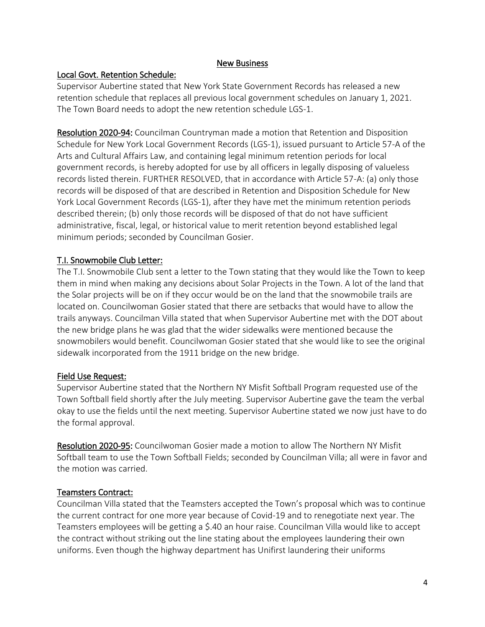#### New Business

#### Local Govt. Retention Schedule:

Supervisor Aubertine stated that New York State Government Records has released a new retention schedule that replaces all previous local government schedules on January 1, 2021. The Town Board needs to adopt the new retention schedule LGS-1.

Resolution 2020-94: Councilman Countryman made a motion that Retention and Disposition Schedule for New York Local Government Records (LGS-1), issued pursuant to Article 57-A of the Arts and Cultural Affairs Law, and containing legal minimum retention periods for local government records, is hereby adopted for use by all officers in legally disposing of valueless records listed therein. FURTHER RESOLVED, that in accordance with Article 57-A: (a) only those records will be disposed of that are described in Retention and Disposition Schedule for New York Local Government Records (LGS-1), after they have met the minimum retention periods described therein; (b) only those records will be disposed of that do not have sufficient administrative, fiscal, legal, or historical value to merit retention beyond established legal minimum periods; seconded by Councilman Gosier.

# T.I. Snowmobile Club Letter:

The T.I. Snowmobile Club sent a letter to the Town stating that they would like the Town to keep them in mind when making any decisions about Solar Projects in the Town. A lot of the land that the Solar projects will be on if they occur would be on the land that the snowmobile trails are located on. Councilwoman Gosier stated that there are setbacks that would have to allow the trails anyways. Councilman Villa stated that when Supervisor Aubertine met with the DOT about the new bridge plans he was glad that the wider sidewalks were mentioned because the snowmobilers would benefit. Councilwoman Gosier stated that she would like to see the original sidewalk incorporated from the 1911 bridge on the new bridge.

#### Field Use Request:

Supervisor Aubertine stated that the Northern NY Misfit Softball Program requested use of the Town Softball field shortly after the July meeting. Supervisor Aubertine gave the team the verbal okay to use the fields until the next meeting. Supervisor Aubertine stated we now just have to do the formal approval.

Resolution 2020-95: Councilwoman Gosier made a motion to allow The Northern NY Misfit Softball team to use the Town Softball Fields; seconded by Councilman Villa; all were in favor and the motion was carried.

#### Teamsters Contract:

Councilman Villa stated that the Teamsters accepted the Town's proposal which was to continue the current contract for one more year because of Covid-19 and to renegotiate next year. The Teamsters employees will be getting a \$.40 an hour raise. Councilman Villa would like to accept the contract without striking out the line stating about the employees laundering their own uniforms. Even though the highway department has Unifirst laundering their uniforms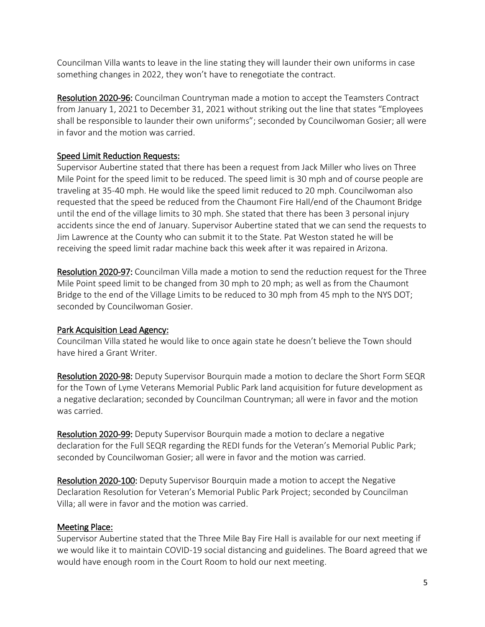Councilman Villa wants to leave in the line stating they will launder their own uniforms in case something changes in 2022, they won't have to renegotiate the contract.

Resolution 2020-96: Councilman Countryman made a motion to accept the Teamsters Contract from January 1, 2021 to December 31, 2021 without striking out the line that states "Employees shall be responsible to launder their own uniforms"; seconded by Councilwoman Gosier; all were in favor and the motion was carried.

# Speed Limit Reduction Requests:

Supervisor Aubertine stated that there has been a request from Jack Miller who lives on Three Mile Point for the speed limit to be reduced. The speed limit is 30 mph and of course people are traveling at 35-40 mph. He would like the speed limit reduced to 20 mph. Councilwoman also requested that the speed be reduced from the Chaumont Fire Hall/end of the Chaumont Bridge until the end of the village limits to 30 mph. She stated that there has been 3 personal injury accidents since the end of January. Supervisor Aubertine stated that we can send the requests to Jim Lawrence at the County who can submit it to the State. Pat Weston stated he will be receiving the speed limit radar machine back this week after it was repaired in Arizona.

Resolution 2020-97: Councilman Villa made a motion to send the reduction request for the Three Mile Point speed limit to be changed from 30 mph to 20 mph; as well as from the Chaumont Bridge to the end of the Village Limits to be reduced to 30 mph from 45 mph to the NYS DOT; seconded by Councilwoman Gosier.

# Park Acquisition Lead Agency:

Councilman Villa stated he would like to once again state he doesn't believe the Town should have hired a Grant Writer.

Resolution 2020-98: Deputy Supervisor Bourquin made a motion to declare the Short Form SEQR for the Town of Lyme Veterans Memorial Public Park land acquisition for future development as a negative declaration; seconded by Councilman Countryman; all were in favor and the motion was carried.

Resolution 2020-99: Deputy Supervisor Bourquin made a motion to declare a negative declaration for the Full SEQR regarding the REDI funds for the Veteran's Memorial Public Park; seconded by Councilwoman Gosier; all were in favor and the motion was carried.

Resolution 2020-100: Deputy Supervisor Bourquin made a motion to accept the Negative Declaration Resolution for Veteran's Memorial Public Park Project; seconded by Councilman Villa; all were in favor and the motion was carried.

#### Meeting Place:

Supervisor Aubertine stated that the Three Mile Bay Fire Hall is available for our next meeting if we would like it to maintain COVID-19 social distancing and guidelines. The Board agreed that we would have enough room in the Court Room to hold our next meeting.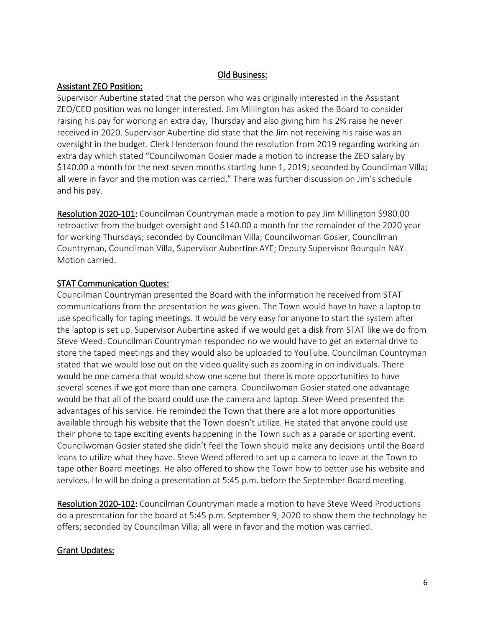### Old Business:

# Assistant ZEO Position:

Supervisor Aubertine stated that the person who was originally interested in the Assistant ZEO/CEO position was no longer interested. Jim Millington has asked the Board to consider raising his pay for working an extra day, Thursday and also giving him his 2% raise he never received in 2020. Supervisor Aubertine did state that the Jim not receiving his raise was an oversight in the budget. Clerk Henderson found the resolution from 2019 regarding working an extra day which stated "Councilwoman Gosier made a motion to increase the ZEO salary by \$140.00 a month for the next seven months starting June 1, 2019; seconded by Councilman Villa; all were in favor and the motion was carried." There was further discussion on Jim's schedule and his pay.

Resolution 2020-101: Councilman Countryman made a motion to pay Jim Millington \$980.00 retroactive from the budget oversight and \$140.00 a month for the remainder of the 2020 year for working Thursdays; seconded by Councilman Villa; Councilwoman Gosier, Councilman Countryman, Councilman Villa, Supervisor Aubertine AYE; Deputy Supervisor Bourquin NAY. Motion carried.

# STAT Communication Quotes:

Councilman Countryman presented the Board with the information he received from STAT communications from the presentation he was given. The Town would have to have a laptop to use specifically for taping meetings. It would be very easy for anyone to start the system after the laptop is set up. Supervisor Aubertine asked if we would get a disk from STAT like we do from Steve Weed. Councilman Countryman responded no we would have to get an external drive to store the taped meetings and they would also be uploaded to YouTube. Councilman Countryman stated that we would lose out on the video quality such as zooming in on individuals. There would be one camera that would show one scene but there is more opportunities to have several scenes if we got more than one camera. Councilwoman Gosier stated one advantage would be that all of the board could use the camera and laptop. Steve Weed presented the advantages of his service. He reminded the Town that there are a lot more opportunities available through his website that the Town doesn't utilize. He stated that anyone could use their phone to tape exciting events happening in the Town such as a parade or sporting event. Councilwoman Gosier stated she didn't feel the Town should make any decisions until the Board leans to utilize what they have. Steve Weed offered to set up a camera to leave at the Town to tape other Board meetings. He also offered to show the Town how to better use his website and services. He will be doing a presentation at 5:45 p.m. before the September Board meeting.

Resolution 2020-102: Councilman Countryman made a motion to have Steve Weed Productions do a presentation for the board at 5:45 p.m. September 9, 2020 to show them the technology he offers; seconded by Councilman Villa; all were in favor and the motion was carried.

#### Grant Updates: